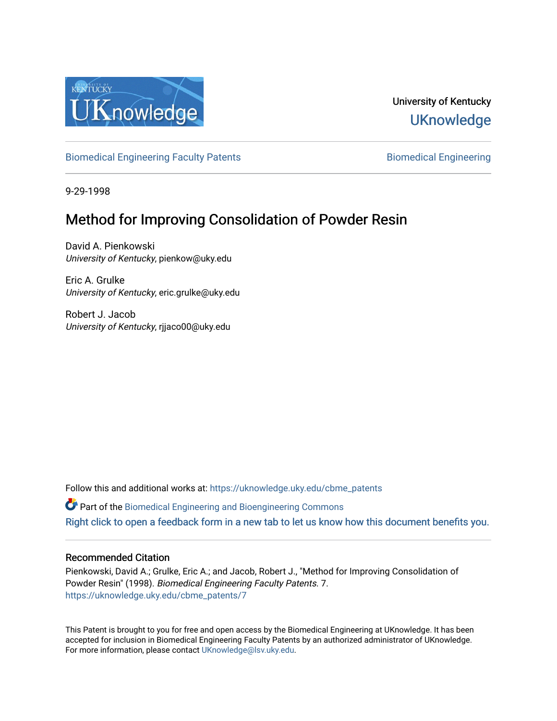

# University of Kentucky **UKnowledge**

[Biomedical Engineering Faculty Patents](https://uknowledge.uky.edu/cbme_patents) **Biomedical Engineering** Biomedical Engineering

9-29-1998

# Method for Improving Consolidation of Powder Resin

David A. Pienkowski University of Kentucky, pienkow@uky.edu

Eric A. Grulke University of Kentucky, eric.grulke@uky.edu

Robert J. Jacob University of Kentucky, rjjaco00@uky.edu

Follow this and additional works at: [https://uknowledge.uky.edu/cbme\\_patents](https://uknowledge.uky.edu/cbme_patents?utm_source=uknowledge.uky.edu%2Fcbme_patents%2F7&utm_medium=PDF&utm_campaign=PDFCoverPages)

Part of the [Biomedical Engineering and Bioengineering Commons](http://network.bepress.com/hgg/discipline/229?utm_source=uknowledge.uky.edu%2Fcbme_patents%2F7&utm_medium=PDF&utm_campaign=PDFCoverPages)  [Right click to open a feedback form in a new tab to let us know how this document benefits you.](https://uky.az1.qualtrics.com/jfe/form/SV_9mq8fx2GnONRfz7)

## Recommended Citation

Pienkowski, David A.; Grulke, Eric A.; and Jacob, Robert J., "Method for Improving Consolidation of Powder Resin" (1998). Biomedical Engineering Faculty Patents. 7. [https://uknowledge.uky.edu/cbme\\_patents/7](https://uknowledge.uky.edu/cbme_patents/7?utm_source=uknowledge.uky.edu%2Fcbme_patents%2F7&utm_medium=PDF&utm_campaign=PDFCoverPages)

This Patent is brought to you for free and open access by the Biomedical Engineering at UKnowledge. It has been accepted for inclusion in Biomedical Engineering Faculty Patents by an authorized administrator of UKnowledge. For more information, please contact [UKnowledge@lsv.uky.edu.](mailto:UKnowledge@lsv.uky.edu)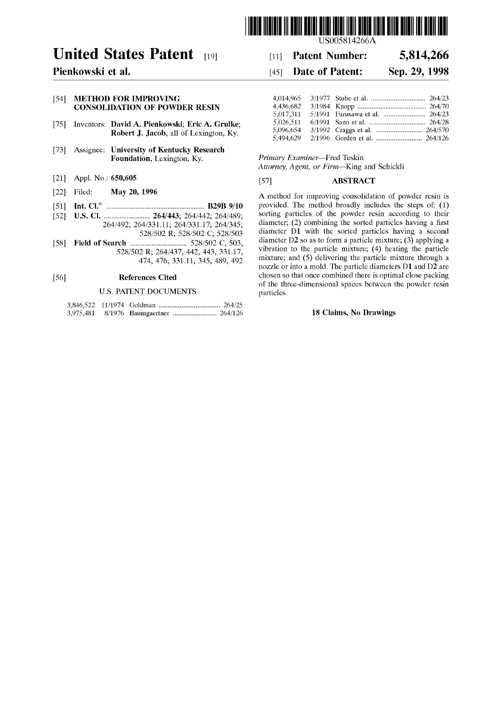

# United States Patent [19] [11] Patent Number: 5,814,266

## [54] METHOD FOR IMPROVING CONSOLIDATION OF POWDER RESIN

- [75] Inventors: David A. Pienkowski; Eric A. Grulke; **Robert J. Jacob**, all of Lexington, Ky.  $\begin{array}{c} 5,096,5494,629 \end{array}$
- [73] Assignee: University of Kentucky Research
- [21] Appl. No.:  $650,605$
- 
- 
- 264/492; 264/331.11; 264/331.17; 264/345;
- [58] Field of Search .............................. .. 528/502 c, 503, diameter D2 50 as to form a Particle mixture; (3) applying 4

## U.S. PATENT DOCUMENTS particles.

## Pienkowski et al. [45] Date of Patent: Sep. 29, 1998

| 4,014,965 |                                |
|-----------|--------------------------------|
| 4,436,682 |                                |
| 5.017.311 | 5/1991 Furusawa et al.  264/23 |
| 5,026,511 |                                |
| 5,096,654 |                                |
| 5.494,629 |                                |

Primary Examiner—Fred Teskin

Attorney, Agent, or Firm—King and Schickli

### **ABSTRACT**  $[57]$

[22] Filed: May 20, 1996<br>  $\overline{AB} = \overline{AB}$  A method for improving consolidation of powder resin is<br>  $\overline{AB} = \overline{AB}$   $\overline{AB} = \overline{AB}$  and  $\overline{BC}$  are provided. The method broadly includes the steps of: (1) [51] Int. Cl.  $\frac{6}{152}$  I.S. Cl.  $\frac{264}{443}$   $\frac{264}{443}$   $\frac{264}{443}$   $\frac{264}{443}$   $\frac{264}{443}$   $\frac{264}{443}$   $\frac{264}{443}$   $\frac{264}{443}$   $\frac{264}{443}$   $\frac{264}{443}$   $\frac{264}{443}$   $\frac{264}{443}$   $\frac{264}{443}$   $\frac{$ [52] US. Cl. ........................ .. 264/443; 264/442; 264/489; Sorting particles of the Powder resin according to their 528/502 R; 528/502 C; 528/503 diameter D1 with the sorted particles having a second 528/502 R; 528/502 C; 503 diameter D2 so as to form a particle mixture; (3) applying a 528/502 R; 264/437, 442, 443, 331.17, vibration to the particle mixture; (4) heating the particle<br>528/502 R; 264/437, 442, 443, 431.11, 345, 489, 492 mixture; and (5) delivering the particle mixture through a 474, 476, 331.11, 345, 489, 492 mixture; and (5) delivering the particle mixture through a '' nozzle or into a mold. The particle diameters D1 and D2 are [56] References Cited chosen so that once combined there is optimal close packing of the three-dimensional spaces between the powder resin

### 18 Claims, No Drawings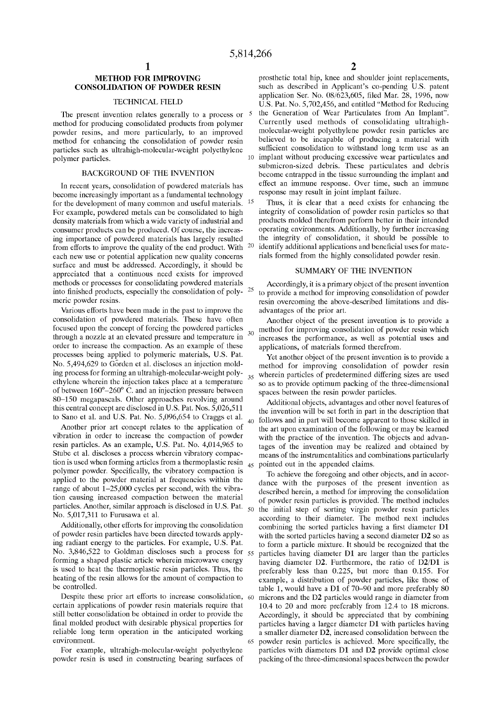$30$ 

35

## METHOD FOR IMPROVING CONSOLIDATION OF POWDER RESIN

## TECHNICAL FIELD

The present invention relates generally to a process or method for producing consolidated products from polymer poWder resins, and more particularly, to an improved method for enhancing the consolidation of poWder resin particles such as ultrahigh-molecular-Weight polyethylene polymer particles.

## BACKGROUND OF THE INVENTION

In recent years, consolidation of poWdered materials has become increasingly important as a fundamental technology for the development of many common and useful materials. For example, poWdered metals can be consolidated to high density materials from Which a Wide variety of industrial and consumer products can be produced. Of course, the increas ing importance of poWdered materials has largely resulted from efforts to improve the quality of the end product. With each new use or potential application new quality concerns surface and must be addressed. Accordingly, it should be appreciated that a continuous need exists for improved methods or processes for consolidating poWdered materials into finished products, especially the consolidation of polymeric poWder resins. 15 25

Various efforts have been made in the past to improve the consolidation of poWdered materials. These have often focused upon the concept of forcing the poWdered particles through a nozzle at an elevated pressure and temperature in order to increase the compaction. As an example of these processes being applied to polymeric materials, US. Pat. No. 5,494,629 to Gorden et al. discloses an injection molding process for forming an ultrahigh-molecular-Weight poly ethylene Wherein the injection takes place at a temperature of between  $160^{\circ}-260^{\circ}$  C. and an injection pressure between 80—150 megapascals. Other approaches revolving around this central concept are disclosed in U.S. Pat. Nos. 5,026,511 to Sano et al. and US. Pat. No. 5,096,654 to Craggs et al.

Another prior art concept relates to the application of vibration in order to increase the compaction of poWder resin particles. As an example, US. Pat. No. 4,014,965 to Stube et al. discloses a process Wherein vibratory compac tion is used When forming articles from a thermoplastic resin polymer powder. Specifically, the vibratory compaction is applied to the poWder material at frequencies Within the range of about  $1-25,000$  cycles per second, with the vibration causing increased compaction betWeen the material particles. Another, similar approach is disclosed in US. Pat. No. 5,017,311 to FurusaWa et al.

Additionally, other efforts for improving the consolidation of poWder resin particles have been directed toWards apply ing radiant energy to the particles. For example, US. Pat. No. 3,846,522 to Goldman discloses such a process for  $55$ forming a shaped plastic article wherein microwave energy is used to heat the thermoplastic resin particles. Thus, the heating of the resin alloWs for the amount of compaction to be controlled.

Despite these prior art efforts to increase consolidation, 60 certain applications of poWder resin materials require that still better consolidation be obtained in order to provide the final molded product with desirable physical properties for reliable long term operation in the anticipated Working environment.

For example, ultrahigh-molecular-Weight polyethylene poWder resin is used in constructing bearing surfaces of

10 implant Without producing excessive Wear particulates and prosthetic total hip, knee and shoulder joint replacements, such as described in Applicant's co-pending U.S. patent application Ser. No. 08/623,605, filed Mar. 28, 1996, now US. Pat. No. 5,702,456, and entitled "Method for Reducing the Generation of Wear Particulates from An Implant". Currently used methods of consolidating ultrahigh molecular-Weight polyethylene poWder resin particles are believed to be incapable of producing a material With sufficient consolidation to withstand long term use as an submicron-sized debris. These particulates and debris become entrapped in the tissue surrounding the implant and effect an immune response. Over time, such an immune response may result in joint implant failure.

Thus, it is clear that a need exists for enhancing the integrity of consolidation of poWder resin particles so that products molded therefrom perform better in their intended operating environments. Additionally, by further increasing the integrity of consolidation, it should be possible to identify additional applications and beneficial uses for materials formed from the highly consolidated poWder resin.

## SUMMARY OF THE INVENTION

Accordingly, it is a primary object of the present invention to provide a method for improving consolidation of poWder resin overcoming the above-described limitations and dis advantages of the prior art.

Another object of the present invention is to provide a method for improving consolidation of poWder resin Which increases the performance, as Well as potential uses and applications, of materials formed therefrom.

Yet another object of the present invention is to provide a method for improving consolidation of poWder resin wherein particles of predetermined differing sizes are used so as to provide optimum packing of the three-dimensional spaces between the resin powder particles.

40 folloWs and in part Will become apparent to those skilled in 45 pointed out in the appended claims. Additional objects, advantages and other novel features of the invention Will be set forth in part in the description that the art upon examination of the folloWing or may be learned with the practice of the invention. The objects and advantages of the invention may be realized and obtained by means of the instrumentalities and combinations particularly

To achieve the foregoing and other objects, and in accor dance With the purposes of the present invention as described herein, a method for improving the consolidation of poWder resin particles is provided. The method includes the initial step of sorting virgin poWder resin particles according to their diameter. The method next includes combining the sorted particles having a first diameter  $D1$ with the sorted particles having a second diameter D2 so as to form a particle mixture. It should be recognized that the particles having diameter D1 are larger than the particles having diameter D2. Furthermore, the ratio of D2/D1 is preferably less than 0.225, but more than 0.155. For example, a distribution of poWder particles, like those of table 1, Would have a D1 of 70—90 and more preferably 80 microns and the D2 particles Would range in diameter from 10.4 to 20 and more preferably from 12.4 to 18 microns. Accordingly, it should be appreciated that by combining particles having a larger diameter D1 with particles having a smaller diameter D2, increased consolidation between the powder resin particles is achieved. More specifically, the particles With diameters D1 and D2 provide optimal close packing of the three-dimensional spaces betWeen the poWder

 $50$ 

65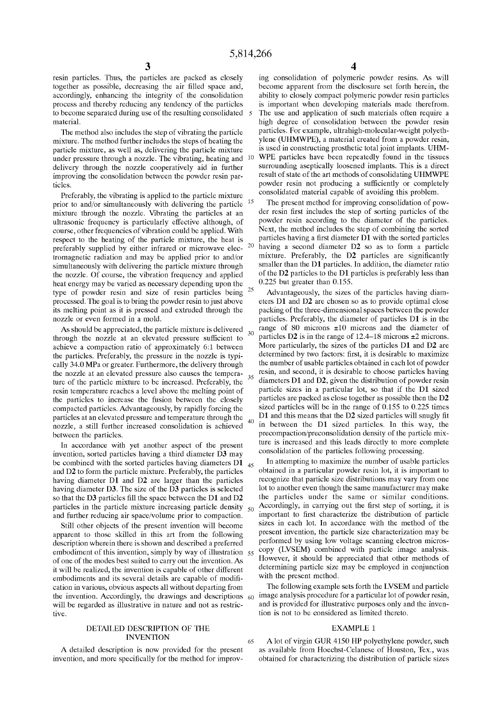25

35

40

60

65

resin particles. Thus, the particles are packed as closely together as possible, decreasing the air filled space and, accordingly, enhancing the integrity of the consolidation process and thereby reducing any tendency of the particles to become separated during use of the resulting consolidated material.

The method also includes the step of vibrating the particle mixture. The method further includes the steps of heating the particle mixture, as Well as, delivering the particle mixture delivery through the nozzle cooperatively aid in further improving the consolidation between the powder resin particles.

Preferably, the vibrating is applied to the particle mixture prior to and/or simultaneously with delivering the particle  $15$ mixture through the nozzle. Vibrating the particles at an ultrasonic frequency is particularly effective although, of course, other frequencies of vibration could be applied. With respect to the heating of the particle mixture, the heat is preferably supplied by either infrared or microWave elec tromagnetic radiation and may be applied prior to and/or simultaneously With delivering the particle mixture through the nozzle. Of course, the vibration frequency and applied heat energy may be varied as necessary depending upon the type of powder resin and size of resin particles being processed. The goal is to bring the poWder resin to just above its melting point as it is pressed and extruded through the nozzle or even formed in a mold.

As should be appreciated, the particle mixture is delivered through the nozzle at an elevated pressure sufficient to achieve a compaction ratio of approximately 6:1 between the particles. Preferably, the pressure in the nozzle is typically 34.0 MPa or greater. Furthermore, the delivery through the nozzle at an elevated pressure also causes the temperature of the particle mixture to be increased. Preferably, the resin temperature reaches a level above the melting point of the particles to increase the fusion between the closely compacted particles. Advantageously, by rapidly forcing the particles at an elevated pressure and temperature through the noZZle, a still further increased consolidation is achieved betWeen the particles.

In accordance With yet another aspect of the present invention, sorted particles having a third diameter D3 may be combined With the sorted particles having diameters D1 and D2 to form the particle mixture. Preferably, the particles having diameter D1 and D2 are larger than the particles having diameter D3. The size of the D3 particles is selected so that the D3 particles fill the space between the D1 and D2 particles in the particle mixture increasing particle density and further reducing air space/volume prior to compaction. 45  $50$ 

Still other objects of the present invention Will become apparent to those skilled in this art from the folloWing description Wherein there is shoWn and described a preferred embodiment of this invention, simply by way of illustration 55 of one of the modes best suited to carry out the invention. As it will be realized, the invention is capable of other different embodiments and its several details are capable of modification in various, obvious aspects all Without departing from the invention. Accordingly, the drawings and descriptions will be regarded as illustrative in nature and not as restrictive.

## DETAILED DESCRIPTION OF THE INVENTION

A detailed description is noW provided for the present invention, and more specifically for the method for improv-

under pressure through a nozzle. The vibrating, heating and 10 WPE particles have been repeatedly found in the tissues ing consolidation of polymeric poWder resins. As Will become apparent from the disclosure set forth herein, the ability to closely compact polymeric poWder resin particles is important When developing materials made therefrom. The use and application of such materials often require a high degree of consolidation betWeen the poWder resin particles. For example, ultrahigh-molecular-Weight polyeth ylene (UHMWPE), a material created from a powder resin, is used in constructing prosthetic total joint implants. UHM surrounding aseptically loosened implants. This is a direct result of state of the art methods of consolidating UHMWPE powder resin not producing a sufficiently or completely consolidated material capable of avoiding this problem.

> The present method for improving consolidation of poW der resin first includes the step of sorting particles of the poWder resin according to the diameter of the particles. Next, the method includes the step of combining the sorted particles having a first diameter D1 with the sorted particles having a second diameter D2 so as to form a particle mixture. Preferably, the D2 particles are significantly smaller than the D1 particles. In addition, the diameter ratio of the D2 particles to the D1 particles is preferably less than 0.225 but greater than 0.155.

30 Advantageously, the sizes of the particles having diameters D1 and D2 are chosen so as to provide optimal close packing of the three-dimensional spaces between the powder particles. Preferably, the diameter of particles D1 is in the range of 80 microns  $\pm 10$  microns and the diameter of particles D2 is in the range of  $12.4-18$  microns  $\pm 2$  microns. More particularly, the sizes of the particles D1 and D2 are determined by two factors: first, it is desirable to maximize the number of usable particles obtained in each lot of poWder resin, and second, it is desirable to choose particles having diameters D1 and D2, given the distribution of poWder resin particle sizes in a particular lot, so that if the D1 sized particles are packed as close together as possible then the D2 sized particles will be in the range of  $0.155$  to  $0.225$  times  $D1$  and this means that the  $D2$  sized particles will snugly fit in between the D1 sized particles. In this way, the precompaction/preconsolidation density of the particle mix ture is increased and this leads directly to more complete consolidation of the particles folloWing processing.

In attempting to maximize the number of usable particles obtained in a particular poWder resin lot, it is important to recognize that particle size distributions may vary from one lot to another even though the same manufacturer may make the particles under the same or similar conditions. Accordingly, in carrying out the first step of sorting, it is important to first characterize the distribution of particle sizes in each lot. In accordance with the method of the present invention, the particle size characterization may be performed by using loW voltage scanning electron micros copy (LVSEM) combined With particle image analysis. HoWever, it should be appreciated that other methods of determining particle size may be employed in conjunction with the present method.

The folloWing example sets forth the LVSEM and particle image analysis procedure for a particular lot of powder resin, and is provided for illustrative purposes only and the inven tion is not to be considered as limited thereto.

## EXAMPLE 1

A lot of virgin GUR 4150 HP polyethylene poWder, such as available from Hoechst-Celanese of Houston, Tex., Was obtained for characterizing the distribution of particle sizes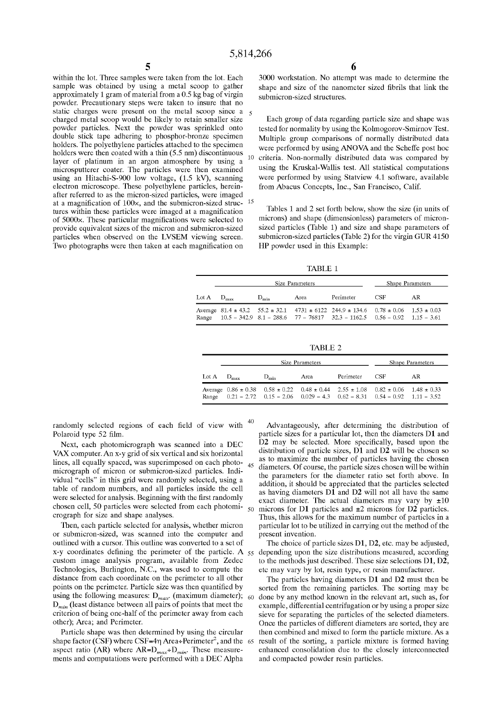60

within the lot. Three samples were taken from the lot. Each sample Was obtained by using a metal scoop to gather approximately 1 gram of material from a 0.5 kg bag of virgin powder. Precautionary steps Were taken to insure that no static charges Were present on the metal scoop since a charged metal scoop would be likely to retain smaller size poWder particles. Next the poWder Was sprinkled onto double stick tape adhering to phosphor-bronze specimen holders. The polyethylene particles attached to the specimen holders were then coated with a thin  $(5.5 \text{ nm})$  discontinuous layer of platinum in an argon atmosphere by using a microsputterer coater. The particles Were then examined using an Hitachi-S-900 low voltage, (1.5 kV), scanning electron microscope. These polyethylene particles, herein after referred to as the micron-sized particles, were imaged at a magnification of  $100 \times$ , and the submicron-sized structures within these particles were imaged at a magnification of 5000x. These particular magnifications were selected to provide equivalent sizes of the micron and submicron-sized particles When observed on the LVSEM vieWing screen. Two photographs were then taken at each magnification on

6

3000 Workstation. No attempt Was made to determine the shape and size of the nanometer sized fibrils that link the submicron-sized structures.

10 criteria. Non-normally distributed data Was compared by Each group of data regarding particle size and shape was tested for normality by using the Kolmogorov-Smirnov Test. Multiple group comparisons of normally distributed data were performed by using ANOVA and the Scheffe post hoc using the Kruskal-Wallis test. All statistical computations were performed by using Statview 4.1 software, available from Abacus Concepts, Inc., San Francisco, Calif.

Tables 1 and 2 set forth below, show the size (in units of microns) and shape (dimensionless) parameters of micron sized particles (Table 1) and size and shape parameters of submicron-sized particles (Table 2) for the virgin GUR 4150 HP poWder used in this Example:

TABLE 1

|                          | Size Parameters |            |      |                                                                                                                                                                                                | Shape Parameters |    |
|--------------------------|-----------------|------------|------|------------------------------------------------------------------------------------------------------------------------------------------------------------------------------------------------|------------------|----|
| Lot $A$ $D_{\text{max}}$ |                 | $D_{\min}$ | Area | Perimeter                                                                                                                                                                                      | <b>CSF</b>       | AR |
|                          |                 |            |      | Average $81.4 \pm 43.2$ $55.2 \pm 32.1$ $4731 \pm 6122$ $244.9 \pm 134.6$ $0.78 \pm 0.06$ $1.53 \pm 0.03$<br>Range $10.5 - 342.9$ 8.1 - 288.6 77 - 76817 32.3 - 1162.5 0.56 - 0.92 1.15 - 3.61 |                  |    |

TABLE 2

|         | Size Parameters  |                                                                                                                                                                                                      |      |           | Shape Parameters |    |
|---------|------------------|------------------------------------------------------------------------------------------------------------------------------------------------------------------------------------------------------|------|-----------|------------------|----|
| Lot $A$ | $D_{\text{max}}$ | $D_{min}$                                                                                                                                                                                            | Area | Perimeter | <b>CSE</b>       | AR |
|         |                  | Average $0.86 \pm 0.38$ $0.58 \pm 0.22$ $0.48 \pm 0.44$ $2.55 \pm 1.08$ $0.82 \pm 0.06$ $1.48 \pm 0.33$<br>Range $0.21 - 2.72$ $0.15 - 2.06$ $0.029 - 4.3$ $0.62 - 8.31$ $0.54 - 0.92$ $1.11 - 3.52$ |      |           |                  |    |

randomly selected regions of each field of view with Polaroid type 52 film.

Next, each photomicrograph Was scanned into a DEC VAX computer. An x-y grid of six vertical and six horizontal lines, all equally spaced, Was superimposed on each photo micrograph of micron or submicron-sized particles. Individual "cells" in this grid Were randomly selected, using a table of random numbers, and all particles inside the cell were selected for analysis. Beginning with the first randomly chosen cell, 50 particles Were selected from each photomi crograph for size and shape analyses.

Then, each particle selected for analysis, Whether micron or submicron-sized, was scanned into the computer and outlined With a cursor. This outline Was converted to a set of x-y coordinates defining the perimeter of the particle. A  $_{55}$ custom image analysis program, available from Zedec Technologies, Burlington, NC, Was used to compute the distance from each coordinate on the perimeter to all other points on the perimeter. Particle size was then quantified by using the following measures:  $D_{max}$ . (maximum diameter);  $D_{min}$  (least distance between all pairs of points that meet the criterion of being one-half of the perimeter aWay from each other); Area; and Perimeter.

Particle shape Was then determined by using the circular shape factor (CSF) where  $CSF=4\eta$  Area÷Perimeter<sup>-</sup>, and the 65 aspect ratio (AR) where  $AR=D_{max}+D_{min}$ . These measurements and computations were performed with a DEC Alpha

45 50 microns for D1 particles and  $\pm 2$  microns for D2 particles. Advantageously, after determining the distribution of particle sizes for a particular lot, then the diameters D1 and D2 may be selected. More specifically, based upon the distribution of particle sizes,  $\overline{D1}$  and  $\overline{D2}$  will be chosen so as to maximize the number of particles having the chosen diameters. Of course, the particle sizes chosen will be within the parameters for the diameter ratio set forth above. In addition, it should be appreciated that the particles selected as having diameters D1 and D2 will not all have the same exact diameter. The actual diameters may vary by  $\pm 10$ Thus, this allows for the maximum number of particles in a particular lot to be utilized in carrying out the method of the present invention.

The choice of particle sizes  $D1$ ,  $D2$ , etc. may be adjusted, depending upon the size distributions measured, according to the methods just described. These size selections D1, D2, etc may vary by lot, resin type, or resin manufacturer.

The particles having diameters D1 and D2 must then be sorted from the remaining particles. The sorting may be done by any method known in the relevant art, such as, for example, differential centrifugation or by using a proper size sieve for separating the particles of the selected diameters. Once the particles of different diameters are sorted, they are then combined and mixed to form the particle mixture. As a result of the sorting, a particle mixture is formed having enhanced consolidation due to the closely interconnected and compacted poWder resin particles.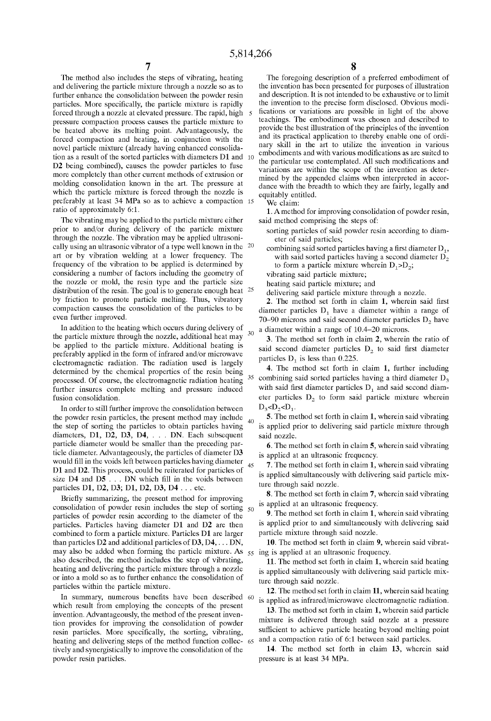The method also includes the steps of vibrating, heating and delivering the particle mixture through a nozzle so as to further enhance the consolidation between the powder resin particles. More specifically, the particle mixture is rapidly forced through a nozzle at elevated pressure. The rapid, high pressure compaction process causes the particle mixture to be heated above its melting point. Advantageously, the forced compaction and heating, in conjunction With the novel particle mixture (already having enhanced consolida tion as a result of the sorted particles With diameters D1 and 10 D2 being combined), causes the poWder particles to fuse more completely than other current methods of extrusion or molding consolidation known in the art. The pressure at which the particle mixture is forced through the nozzle is preferably at least 34 MPa so as to achieve a compaction 15 ratio of approximately 6:1.

The vibrating may be applied to the particle mixture either prior to and/or during delivery of the particle mixture through the nozzle. The vibration may be applied ultrasonically using an ultrasonic vibrator of a type well known in the <sup>20</sup> art or by vibration Welding at a loWer frequency. The frequency of the vibration to be applied is determined by considering a number of factors including the geometry of the nozzle or mold, the resin type and the particle size distribution of the resin. The goal is to generate enough heat 25 by friction to promote particle melting. Thus, vibratory compaction causes the consolidation of the particles to be even further improved.

In addition to the heating which occurs during delivery of  $\frac{1}{30}$ the particle mixture through the nozzle, additional heat may be applied to the particle mixture. Additional heating is preferably applied in the form of infrared and/or microWave electromagnetic radiation. The radiation used is largely determined by the chemical properties of the resin being processed. Of course, the electromagnetic radiation heating further insures complete melting and pressure induced fusion consolidation.

In order to still further improve the consolidation between the poWder resin particles, the present method may include the step of sorting the particles to obtain particles having diameters, D1, D2, D3, D4, . . . DN. Each subsequent particle diameter Would be smaller than the preceding par ticle diameter. Advantageously, the particles of diameter D3 would fill in the voids left between particles having diameter D1 and D2. This process, could be reiterated for particles of size  $D4$  and  $D5$ ... DN which fill in the voids between particles D1, D2, D3; D1, D2, D3, D4 . . . etc.

Briefly summarizing, the present method for improving consolidation of powder resin includes the step of sorting  $\zeta_0$ particles of poWder resin according to the diameter of the particles. Particles having diameter D1 and D2 are then combined to form a particle mixture. Particles D1 are larger than particles D2 and additional particles of D3, D4, . . . DN, may also be added When forming the particle mixture. As 55 ing is applied at an ultrasonic frequency. also described, the method includes the step of vibrating, heating and delivering the particle mixture through a nozzle or into a mold so as to further enhance the consolidation of particles Within the particle mixture.

In summary, numerous benefits have been described 60 Which result from employing the concepts of the present invention. Advantageously, the method of the present inven tion provides for improving the consolidation of poWder resin particles. More specifically, the sorting, vibrating, heating and delivering steps of the method function collec tively and synergistically to improve the consolidation of the poWder resin particles. 65

The foregoing description of a preferred embodiment of the invention has been presented for purposes of illustration and description. It is not intended to be exhaustive or to limit the invention to the precise form disclosed. Obvious modi fications or variations are possible in light of the above teachings. The embodiment Was chosen and described to provide the best illustration of the principles of the invention and its practical application to thereby enable one of ordi nary skill in the art to utilize the invention in various embodiments and with various modifications as are suited to the particular use contemplated. All such modifications and variations are Within the scope of the invention as deter mined by the appended claims when interpreted in accordance with the breadth to which they are fairly, legally and equitably entitled.

We claim:

35

45

 $40$ 

1. A method for improving consolidation of poWder resin, said method comprising the steps of:

- sorting particles of said powder resin according to diameter of said particles;
- combining said sorted particles having a first diameter  $D_1$ , with said sorted particles having a second diameter  $\overline{D}_2$ to form a particle mixture wherein  $D_1 > D_2$ ;

vibrating said particle mixture;

heating said particle mixture; and

delivering said particle mixture through a nozzle.

2. The method set forth in claim  $1$ , wherein said first diameter particles  $D_1$  have a diameter within a range of 70–90 microns and said second diameter particles  $D_2$  have a diameter Within a range of 10.4—20 microns.

3. The method set forth in claim 2, Wherein the ratio of said second diameter particles  $D_2$  to said first diameter particles  $D_1$  is less than 0.225.

4. The method set forth in claim 1, further including combining said sorted particles having a third diameter  $D_3$ with said first diameter particles  $D_1$  and said second diameter particles  $D_2$  to form said particle mixture wherein  $D_3$ < $D_2$ < $D_1$ .

5. The method set forth in claim 1, Wherein said vibrating is applied prior to delivering said particle mixture through said nozzle.

6. The method set forth in claim 5, Wherein said vibrating is applied at an ultrasonic frequency.

7. The method set forth in claim 1, Wherein said vibrating is applied simultaneously With delivering said particle mix ture through said nozzle.

8. The method set forth in claim 7, Wherein said vibrating is applied at an ultrasonic frequency.

9. The method set forth in claim 1, Wherein said vibrating is applied prior to and simultaneously With delivering said particle mixture through said nozzle.

10. The method set forth in claim 9, Wherein said vibrat

11. The method set forth in claim 1, Wherein said heating is applied simultaneously With delivering said particle mix ture through said nozzle.

12. The method set forth in claim 11, Wherein said heating is applied as infrared/microWave electromagnetic radiation.

13. The method set forth in claim 1, Wherein said particle mixture is delivered through said nozzle at a pressure sufficient to achieve particle heating beyond melting point and a compaction ratio of 6:1 between said particles.

14. The method set forth in claim 13, Wherein said pressure is at least 34 MPa.